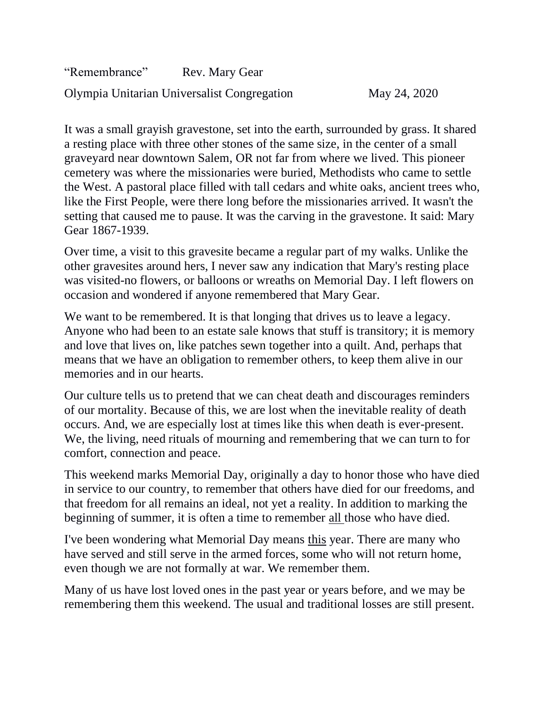"Remembrance" Rev. Mary Gear Olympia Unitarian Universalist Congregation May 24, 2020

It was a small grayish gravestone, set into the earth, surrounded by grass. It shared a resting place with three other stones of the same size, in the center of a small graveyard near downtown Salem, OR not far from where we lived. This pioneer cemetery was where the missionaries were buried, Methodists who came to settle the West. A pastoral place filled with tall cedars and white oaks, ancient trees who, like the First People, were there long before the missionaries arrived. It wasn't the setting that caused me to pause. It was the carving in the gravestone. It said: Mary Gear 1867-1939.

Over time, a visit to this gravesite became a regular part of my walks. Unlike the other gravesites around hers, I never saw any indication that Mary's resting place was visited-no flowers, or balloons or wreaths on Memorial Day. I left flowers on occasion and wondered if anyone remembered that Mary Gear.

We want to be remembered. It is that longing that drives us to leave a legacy. Anyone who had been to an estate sale knows that stuff is transitory; it is memory and love that lives on, like patches sewn together into a quilt. And, perhaps that means that we have an obligation to remember others, to keep them alive in our memories and in our hearts.

Our culture tells us to pretend that we can cheat death and discourages reminders of our mortality. Because of this, we are lost when the inevitable reality of death occurs. And, we are especially lost at times like this when death is ever-present. We, the living, need rituals of mourning and remembering that we can turn to for comfort, connection and peace.

This weekend marks Memorial Day, originally a day to honor those who have died in service to our country, to remember that others have died for our freedoms, and that freedom for all remains an ideal, not yet a reality. In addition to marking the beginning of summer, it is often a time to remember all those who have died.

I've been wondering what Memorial Day means this year. There are many who have served and still serve in the armed forces, some who will not return home, even though we are not formally at war. We remember them.

Many of us have lost loved ones in the past year or years before, and we may be remembering them this weekend. The usual and traditional losses are still present.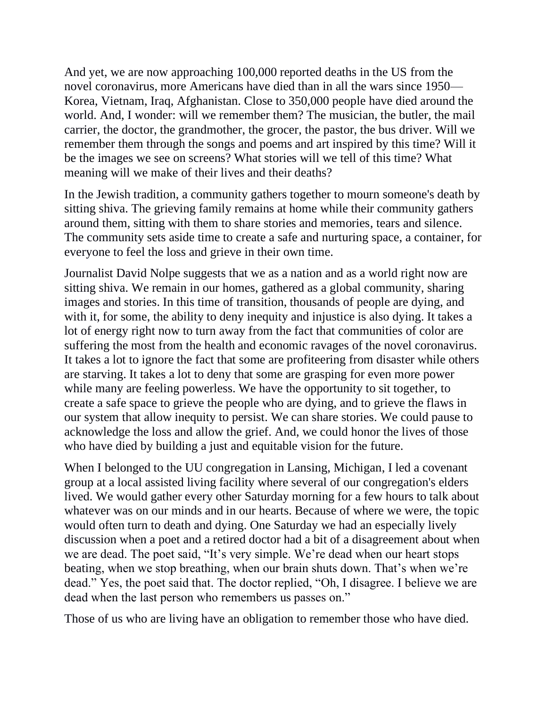And yet, we are now approaching 100,000 reported deaths in the US from the novel coronavirus, more Americans have died than in all the wars since 1950— Korea, Vietnam, Iraq, Afghanistan. Close to 350,000 people have died around the world. And, I wonder: will we remember them? The musician, the butler, the mail carrier, the doctor, the grandmother, the grocer, the pastor, the bus driver. Will we remember them through the songs and poems and art inspired by this time? Will it be the images we see on screens? What stories will we tell of this time? What meaning will we make of their lives and their deaths?

In the Jewish tradition, a community gathers together to mourn someone's death by sitting shiva. The grieving family remains at home while their community gathers around them, sitting with them to share stories and memories, tears and silence. The community sets aside time to create a safe and nurturing space, a container, for everyone to feel the loss and grieve in their own time.

Journalist David Nolpe suggests that we as a nation and as a world right now are sitting shiva. We remain in our homes, gathered as a global community, sharing images and stories. In this time of transition, thousands of people are dying, and with it, for some, the ability to deny inequity and injustice is also dying. It takes a lot of energy right now to turn away from the fact that communities of color are suffering the most from the health and economic ravages of the novel coronavirus. It takes a lot to ignore the fact that some are profiteering from disaster while others are starving. It takes a lot to deny that some are grasping for even more power while many are feeling powerless. We have the opportunity to sit together, to create a safe space to grieve the people who are dying, and to grieve the flaws in our system that allow inequity to persist. We can share stories. We could pause to acknowledge the loss and allow the grief. And, we could honor the lives of those who have died by building a just and equitable vision for the future.

When I belonged to the UU congregation in Lansing, Michigan, I led a covenant group at a local assisted living facility where several of our congregation's elders lived. We would gather every other Saturday morning for a few hours to talk about whatever was on our minds and in our hearts. Because of where we were, the topic would often turn to death and dying. One Saturday we had an especially lively discussion when a poet and a retired doctor had a bit of a disagreement about when we are dead. The poet said, "It's very simple. We're dead when our heart stops beating, when we stop breathing, when our brain shuts down. That's when we're dead." Yes, the poet said that. The doctor replied, "Oh, I disagree. I believe we are dead when the last person who remembers us passes on."

Those of us who are living have an obligation to remember those who have died.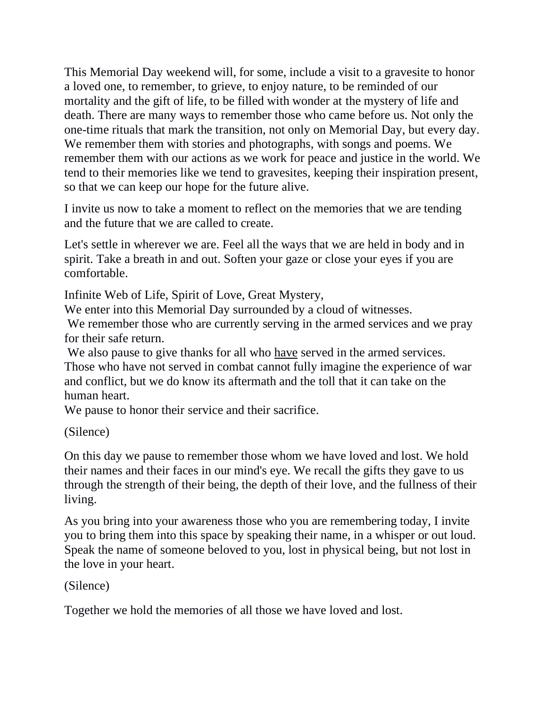This Memorial Day weekend will, for some, include a visit to a gravesite to honor a loved one, to remember, to grieve, to enjoy nature, to be reminded of our mortality and the gift of life, to be filled with wonder at the mystery of life and death. There are many ways to remember those who came before us. Not only the one-time rituals that mark the transition, not only on Memorial Day, but every day. We remember them with stories and photographs, with songs and poems. We remember them with our actions as we work for peace and justice in the world. We tend to their memories like we tend to gravesites, keeping their inspiration present, so that we can keep our hope for the future alive.

I invite us now to take a moment to reflect on the memories that we are tending and the future that we are called to create.

Let's settle in wherever we are. Feel all the ways that we are held in body and in spirit. Take a breath in and out. Soften your gaze or close your eyes if you are comfortable.

Infinite Web of Life, Spirit of Love, Great Mystery,

We enter into this Memorial Day surrounded by a cloud of witnesses.

We remember those who are currently serving in the armed services and we pray for their safe return.

We also pause to give thanks for all who have served in the armed services. Those who have not served in combat cannot fully imagine the experience of war and conflict, but we do know its aftermath and the toll that it can take on the human heart.

We pause to honor their service and their sacrifice.

(Silence)

On this day we pause to remember those whom we have loved and lost. We hold their names and their faces in our mind's eye. We recall the gifts they gave to us through the strength of their being, the depth of their love, and the fullness of their living.

As you bring into your awareness those who you are remembering today, I invite you to bring them into this space by speaking their name, in a whisper or out loud. Speak the name of someone beloved to you, lost in physical being, but not lost in the love in your heart.

## (Silence)

Together we hold the memories of all those we have loved and lost.